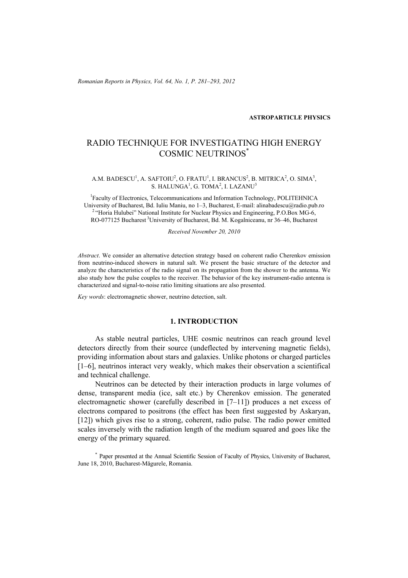*Romanian Reports in Physics, Vol. 64, No. 1, P. 281–293, 2012*

#### **ASTROPARTICLE PHYSICS**

# RADIO TECHNIQUE FOR INVESTIGATING HIGH ENERGY COSMIC NEUTRINOS\*

#### A.M. BADESCU<sup>1</sup>, A. SAFTOIU<sup>2</sup>, O. FRATU<sup>1</sup>, I. BRANCUS<sup>2</sup>, B. MITRICA<sup>2</sup>, O. SIMA<sup>3</sup>, S. HALUNGA<sup>1</sup>, G. TOMA<sup>2</sup>, I. LAZANU<sup>3</sup>

1 Faculty of Electronics, Telecommunications and Information Technology, POLITEHNICA University of Bucharest, Bd. Iuliu Maniu, no 1–3, Bucharest, E-mail: alinabadescu@radio.pub.ro <sup>2</sup> "Horia Hulubei" National Institute for Nuclear Physics and Engineering, P.O.Box MG-6, RO-077125 Bucharest<sup>3</sup>University of Bucharest, Bd. M. Kogalniceanu, nr 36–46, Bucharest

*Received November 20, 2010* 

*Abstract*. We consider an alternative detection strategy based on coherent radio Cherenkov emission from neutrino-induced showers in natural salt. We present the basic structure of the detector and analyze the characteristics of the radio signal on its propagation from the shower to the antenna. We also study how the pulse couples to the receiver. The behavior of the key instrument-radio antenna is characterized and signal-to-noise ratio limiting situations are also presented.

*Key words*: electromagnetic shower, neutrino detection, salt.

#### **1. INTRODUCTION**

As stable neutral particles, UHE cosmic neutrinos can reach ground level detectors directly from their source (undeflected by intervening magnetic fields), providing information about stars and galaxies. Unlike photons or charged particles [1–6], neutrinos interact very weakly, which makes their observation a scientifical and technical challenge.

Neutrinos can be detected by their interaction products in large volumes of dense, transparent media (ice, salt etc.) by Cherenkov emission. The generated electromagnetic shower (carefully described in [7–11]) produces a net excess of electrons compared to positrons (the effect has been first suggested by Askaryan, [12]) which gives rise to a strong, coherent, radio pulse. The radio power emitted scales inversely with the radiation length of the medium squared and goes like the energy of the primary squared.

\* Paper presented at the Annual Scientific Session of Faculty of Physics, University of Bucharest, June 18, 2010, Bucharest-Măgurele, Romania.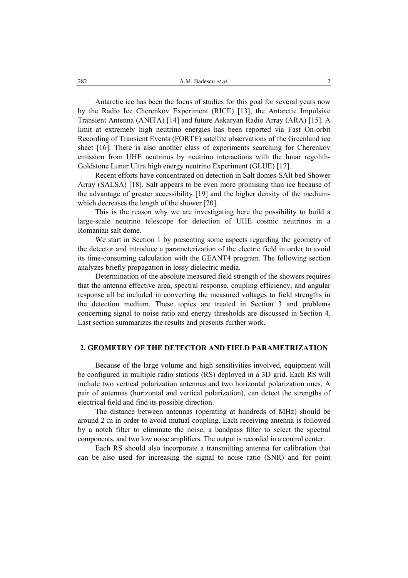Antarctic ice has been the focus of studies for this goal for several years now by the Radio Ice Cherenkov Experiment (RICE) [13], the Antarctic Impulsive Transient Antenna (ANITA) [14] and future Askaryan Radio Array (ARA) [15]. A limit at extremely high neutrino energies has been reported via Fast On-orbit Recording of Transient Events (FORTE) satellite observations of the Greenland ice sheet [16]. There is also another class of experiments searching for Cherenkov emission from UHE neutrinos by neutrino interactions with the lunar regolith-Goldstone Lunar Ultra high energy neutrino Experiment (GLUE) [17].

Recent efforts have concentrated on detection in Salt domes-SAlt bed Shower Array (SALSA) [18]. Salt appears to be even more promising than ice because of the advantage of greater accessibility [19] and the higher density of the mediumwhich decreases the length of the shower [20].

This is the reason why we are investigating here the possibility to build a large-scale neutrino telescope for detection of UHE cosmic neutrinos in a Romanian salt dome.

We start in Section 1 by presenting some aspects regarding the geometry of the detector and introduce a parameterization of the electric field in order to avoid its time-consuming calculation with the GEANT4 program. The following section analyzes briefly propagation in lossy dielectric media.

Determination of the absolute measured field strength of the showers requires that the antenna effective area, spectral response, coupling efficiency, and angular response all be included in converting the measured voltages to field strengths in the detection medium. These topics are treated in Section 3 and problems concerning signal to noise ratio and energy thresholds are discussed in Section 4. Last section summarizes the results and presents further work.

# **2. GEOMETRY OF THE DETECTOR AND FIELD PARAMETRIZATION**

Because of the large volume and high sensitivities involved, equipment will be configured in multiple radio stations (RS) deployed in a 3D grid. Each RS will include two vertical polarization antennas and two horizontal polarization ones. A pair of antennas (horizontal and vertical polarization), can detect the strengths of electrical field and find its possible direction.

The distance between antennas (operating at hundreds of MHz) should be around 2 m in order to avoid mutual coupling. Each receiving antenna is followed by a notch filter to eliminate the noise, a bandpass filter to select the spectral components, and two low noise amplifiers. The output is recorded in a control center.

Each RS should also incorporate a transmitting antenna for calibration that can be also used for increasing the signal to noise ratio (SNR) and for point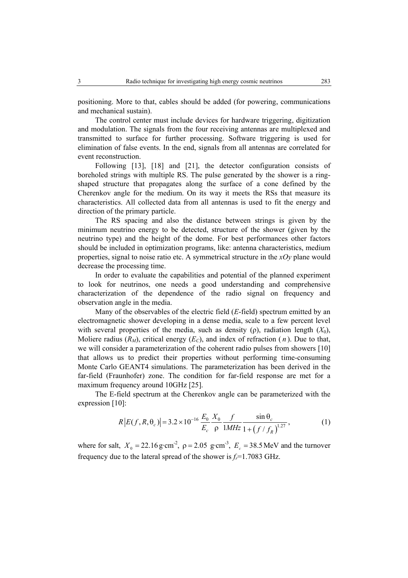positioning. More to that, cables should be added (for powering, communications and mechanical sustain).

The control center must include devices for hardware triggering, digitization and modulation. The signals from the four receiving antennas are multiplexed and transmitted to surface for further processing. Software triggering is used for elimination of false events. In the end, signals from all antennas are correlated for event reconstruction.

Following [13], [18] and [21], the detector configuration consists of boreholed strings with multiple RS. The pulse generated by the shower is a ringshaped structure that propagates along the surface of a cone defined by the Cherenkov angle for the medium. On its way it meets the RSs that measure its characteristics. All collected data from all antennas is used to fit the energy and direction of the primary particle.

The RS spacing and also the distance between strings is given by the minimum neutrino energy to be detected, structure of the shower (given by the neutrino type) and the height of the dome. For best performances other factors should be included in optimization programs, like: antenna characteristics, medium properties, signal to noise ratio etc. A symmetrical structure in the *xOy* plane would decrease the processing time.

In order to evaluate the capabilities and potential of the planned experiment to look for neutrinos, one needs a good understanding and comprehensive characterization of the dependence of the radio signal on frequency and observation angle in the media.

Many of the observables of the electric field (*E*-field) spectrum emitted by an electromagnetic shower developing in a dense media, scale to a few percent level with several properties of the media, such as density ( $\rho$ ), radiation length  $(X_0)$ , Moliere radius  $(R_M)$ , critical energy  $(E_C)$ , and index of refraction  $(n)$ . Due to that, we will consider a parameterization of the coherent radio pulses from showers [10] that allows us to predict their properties without performing time-consuming Monte Carlo GEANT4 simulations. The parameterization has been derived in the far-field (Fraunhofer) zone. The condition for far-field response are met for a maximum frequency around 10GHz [25].

The E-field spectrum at the Cherenkov angle can be parameterized with the expression [10]:

$$
R\left|E(f, R, \theta_c)\right| = 3.2 \times 10^{-16} \frac{E_0}{E_c} \frac{X_0}{\rho} \frac{f}{1MHz} \frac{\sin \theta_c}{1 + \left(f / f_R\right)^{1.27}},\tag{1}
$$

where for salt,  $X_0 = 22.16 \text{ g} \cdot \text{cm}^2$ ,  $\rho = 2.05 \text{ g} \cdot \text{cm}^3$ ,  $E_c = 38.5 \text{ MeV}$  and the turnover frequency due to the lateral spread of the shower is  $f_r = 1.7083$  GHz.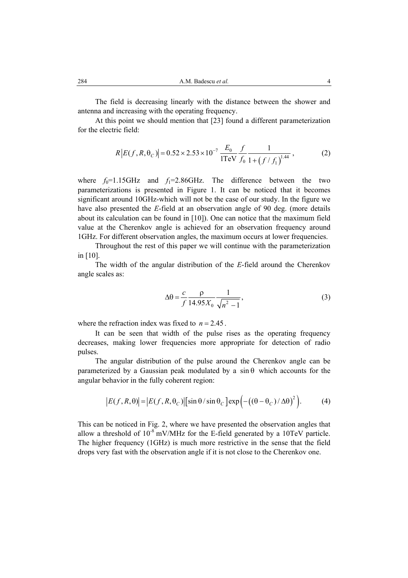The field is decreasing linearly with the distance between the shower and antenna and increasing with the operating frequency.

At this point we should mention that [23] found a different parameterization for the electric field:

$$
R|E(f, R, \theta_C)| = 0.52 \times 2.53 \times 10^{-7} \frac{E_0}{1 \text{TeV}} \frac{f}{f_0} \frac{1}{1 + (f/f_1)^{1.44}},\tag{2}
$$

where  $f_0$ =1.15GHz and  $f_1$ =2.86GHz. The difference between the two parameterizations is presented in Figure 1. It can be noticed that it becomes significant around 10GHz-which will not be the case of our study. In the figure we have also presented the *E*-field at an observation angle of 90 deg. (more details about its calculation can be found in [10]). One can notice that the maximum field value at the Cherenkov angle is achieved for an observation frequency around 1GHz. For different observation angles, the maximum occurs at lower frequencies.

Throughout the rest of this paper we will continue with the parameterization in [10].

The width of the angular distribution of the *E*-field around the Cherenkov angle scales as:

$$
\Delta \theta = \frac{c}{f} \frac{\rho}{14.95 X_0} \frac{1}{\sqrt{n^2 - 1}},
$$
\n(3)

where the refraction index was fixed to  $n = 2.45$ .

It can be seen that width of the pulse rises as the operating frequency decreases, making lower frequencies more appropriate for detection of radio pulses.

The angular distribution of the pulse around the Cherenkov angle can be parameterized by a Gaussian peak modulated by a  $sin \theta$  which accounts for the angular behavior in the fully coherent region:

$$
|E(f, R, \theta)| = |E(f, R, \theta_C)| [\sin \theta / \sin \theta_C] \exp \left( -((\theta - \theta_C) / \Delta \theta)^2 \right).
$$
 (4)

This can be noticed in Fig. 2, where we have presented the observation angles that allow a threshold of  $10^{-8}$  mV/MHz for the E-field generated by a 10TeV particle. The higher frequency (1GHz) is much more restrictive in the sense that the field drops very fast with the observation angle if it is not close to the Cherenkov one.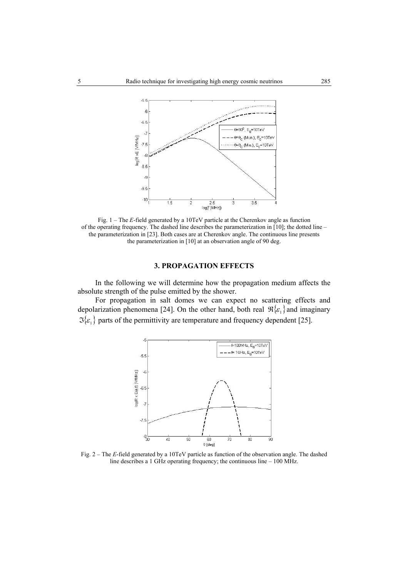

Fig. 1 – The *E*-field generated by a 10TeV particle at the Cherenkov angle as function of the operating frequency. The dashed line describes the parameterization in [10]; the dotted line – the parameterization in [23]. Both cases are at Cherenkov angle. The continuous line presents the parameterization in [10] at an observation angle of 90 deg.

#### **3. PROPAGATION EFFECTS**

In the following we will determine how the propagation medium affects the absolute strength of the pulse emitted by the shower.

For propagation in salt domes we can expect no scattering effects and depolarization phenomena [24]. On the other hand, both real  $\mathcal{R}\{\varepsilon_1\}$  and imaginary  $\Im{\{\varepsilon_1\}}$  parts of the permittivity are temperature and frequency dependent [25].



Fig. 2 – The *E*-field generated by a 10TeV particle as function of the observation angle. The dashed line describes a 1 GHz operating frequency; the continuous line – 100 MHz.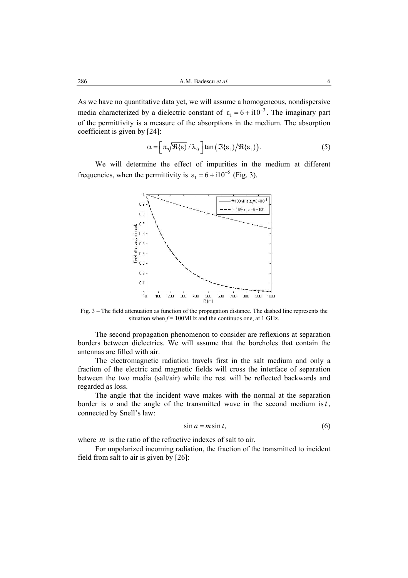As we have no quantitative data yet, we will assume a homogeneous, nondispersive media characterized by a dielectric constant of  $\varepsilon_1 = 6 + i10^{-3}$ . The imaginary part of the permittivity is a measure of the absorptions in the medium. The absorption coefficient is given by [24]:

$$
\alpha = \left[ \pi \sqrt{\mathfrak{R}\{\varepsilon\}} / \lambda_0 \right] \tan \left( \mathfrak{I}\{\varepsilon_1\} / \mathfrak{R}\{\varepsilon_1\} \right). \tag{5}
$$

We will determine the effect of impurities in the medium at different frequencies, when the permittivity is  $\varepsilon_1 = 6 + i10^{-5}$  (Fig. 3).



Fig. 3 – The field attenuation as function of the propagation distance. The dashed line represents the situation when  $f = 100$ MHz and the continuos one, at 1 GHz.

The second propagation phenomenon to consider are reflexions at separation borders between dielectrics. We will assume that the boreholes that contain the antennas are filled with air.

The electromagnetic radiation travels first in the salt medium and only a fraction of the electric and magnetic fields will cross the interface of separation between the two media (salt/air) while the rest will be reflected backwards and regarded as loss.

The angle that the incident wave makes with the normal at the separation border is  $a$  and the angle of the transmitted wave in the second medium is  $t$ , connected by Snell's law:

$$
\sin a = m \sin t,\tag{6}
$$

where *m* is the ratio of the refractive indexes of salt to air.

For unpolarized incoming radiation, the fraction of the transmitted to incident field from salt to air is given by [26]: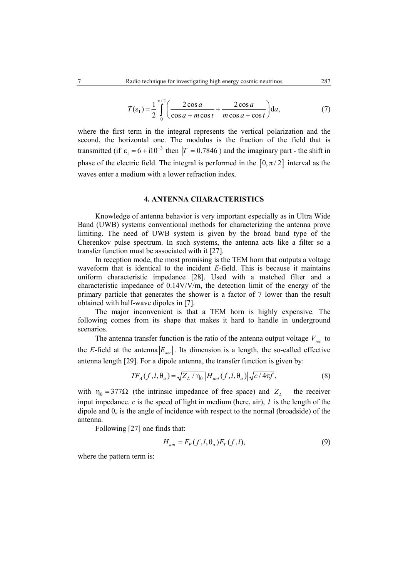$$
T(\varepsilon_1) = \frac{1}{2} \int_0^{\pi/2} \left( \frac{2\cos a}{\cos a + m\cos t} + \frac{2\cos a}{m\cos a + \cos t} \right) da,\tag{7}
$$

where the first term in the integral represents the vertical polarization and the second, the horizontal one. The modulus is the fraction of the field that is transmitted (if  $\varepsilon_1 = 6 + i10^{-3}$  then  $|T| = 0.7846$ ) and the imaginary part - the shift in phase of the electric field. The integral is performed in the  $[0, \pi/2]$  interval as the waves enter a medium with a lower refraction index.

## **4. ANTENNA CHARACTERISTICS**

Knowledge of antenna behavior is very important especially as in Ultra Wide Band (UWB) systems conventional methods for characterizing the antenna prove limiting. The need of UWB system is given by the broad band type of the Cherenkov pulse spectrum. In such systems, the antenna acts like a filter so a transfer function must be associated with it [27].

In reception mode, the most promising is the TEM horn that outputs a voltage waveform that is identical to the incident *E*-field. This is because it maintains uniform characteristic impedance [28]. Used with a matched filter and a characteristic impedance of 0.14V/V/m, the detection limit of the energy of the primary particle that generates the shower is a factor of 7 lower than the result obtained with half-wave dipoles in [7].

The major inconvenient is that a TEM horn is highly expensive*.* The following comes from its shape that makes it hard to handle in underground scenarios.

The antenna transfer function is the ratio of the antenna output voltage  $V_{rec}$  to the *E*-field at the antenna  $E_{ant}$ . Its dimension is a length, the so-called effective antenna length [29]. For a dipole antenna, the transfer function is given by:

$$
TF_A(f, l, \theta_a) = \sqrt{Z_L / \eta_0} \left| H_{ant}(f, l, \theta_a) \right| \sqrt{c / 4\pi f}, \tag{8}
$$

with  $\eta_0 = 377\Omega$  (the intrinsic impedance of free space) and  $Z_L$  – the receiver input impedance. *c* is the speed of light in medium (here, air), *l* is the length of the dipole and  $\theta_a$  is the angle of incidence with respect to the normal (broadside) of the antenna.

Following [27] one finds that:

$$
H_{ant} = F_P(f, l, \theta_a) F_T(f, l), \tag{9}
$$

where the pattern term is: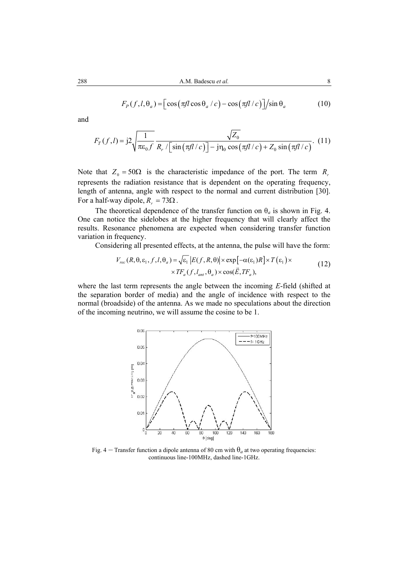$$
F_P(f, l, \theta_a) = \left[ \cos \left( \pi f l \cos \theta_a / c \right) - \cos \left( \pi f l / c \right) \right] / \sin \theta_a \tag{10}
$$

and

$$
F_T(f,l) = j2 \sqrt{\frac{1}{\pi \varepsilon_0 f}} \frac{\sqrt{Z_0}}{R_r / \left[\sin\left(\frac{\pi f l}{c}\right)\right] - j\eta_0 \cos\left(\frac{\pi f l}{c}\right) + Z_0 \sin\left(\frac{\pi f l}{c}\right)}.
$$
 (11)

Note that  $Z_0 = 50\Omega$  is the characteristic impedance of the port. The term  $R_r$ represents the radiation resistance that is dependent on the operating frequency, length of antenna, angle with respect to the normal and current distribution [30]. For a half-way dipole,  $R_r = 73\Omega$ .

The theoretical dependence of the transfer function on  $\theta_a$  is shown in Fig. 4. One can notice the sidelobes at the higher frequency that will clearly affect the results. Resonance phenomena are expected when considering transfer function variation in frequency.

Considering all presented effects, at the antenna, the pulse will have the form:

$$
V_{rec}(R, \theta, \varepsilon_1, f, l, \theta_a) = \sqrt{\varepsilon_1} |E(f, R, \theta)| \times \exp[-\alpha(\varepsilon_1)R] \times T(\varepsilon_1) \times
$$
  
 
$$
\times TF_a(f, l_{ant}, \theta_a) \times \cos(\vec{E}, TF_a),
$$
 (12)

where the last term represents the angle between the incoming *E*-field (shifted at the separation border of media) and the angle of incidence with respect to the normal (broadside) of the antenna. As we made no speculations about the direction of the incoming neutrino, we will assume the cosine to be 1.



Fig. 4 – Transfer function a dipole antenna of 80 cm with  $\theta_a$  at two operating frequencies: continuous line-100MHz, dashed line-1GHz.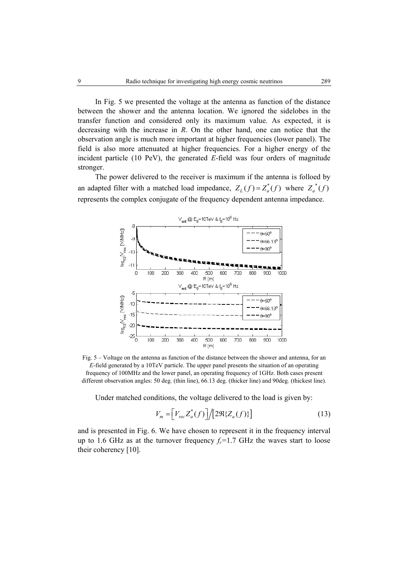In Fig. 5 we presented the voltage at the antenna as function of the distance between the shower and the antenna location. We ignored the sidelobes in the transfer function and considered only its maximum value. As expected, it is decreasing with the increase in *R*. On the other hand, one can notice that the observation angle is much more important at higher frequencies (lower panel). The field is also more attenuated at higher frequencies. For a higher energy of the incident particle (10 PeV), the generated *E*-field was four orders of magnitude stronger.

The power delivered to the receiver is maximum if the antenna is folloed by an adapted filter with a matched load impedance,  $Z_L(f) = Z_a^*(f)$  where  $Z_a^*(f)$ represents the complex conjugate of the frequency dependent antenna impedance.



Fig. 5 – Voltage on the antenna as function of the distance between the shower and antenna, for an *E*-field generated by a 10TeV particle. The upper panel presents the situation of an operating frequency of 100MHz and the lower panel, an operating frequency of 1GHz. Both cases present different observation angles: 50 deg. (thin line), 66.13 deg. (thicker line) and 90deg. (thickest line).

Under matched conditions, the voltage delivered to the load is given by:

$$
V_m = \left[ V_{rec} Z_a^*(f) \right] / \left[ 2 \Re \{ Z_a(f) \} \right] \tag{13}
$$

and is presented in Fig. 6. We have chosen to represent it in the frequency interval up to 1.6 GHz as at the turnover frequency  $f_r = 1.7$  GHz the waves start to loose their coherency [10].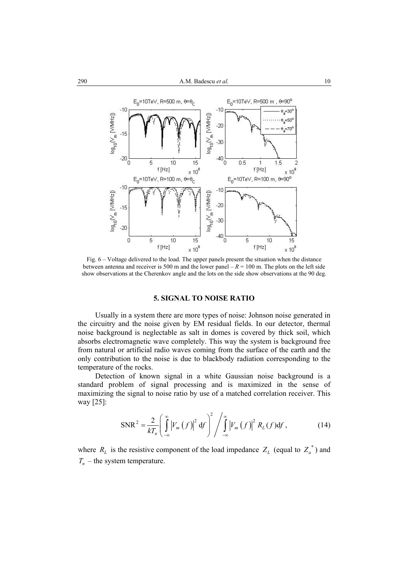

Fig. 6 – Voltage delivered to the load. The upper panels present the situation when the distance between antenna and receiver is 500 m and the lower panel  $-R = 100$  m. The plots on the left side show observations at the Cherenkov angle and the lots on the side show observations at the 90 deg.

# **5. SIGNAL TO NOISE RATIO**

Usually in a system there are more types of noise: Johnson noise generated in the circuitry and the noise given by EM residual fields. In our detector, thermal noise background is neglectable as salt in domes is covered by thick soil, which absorbs electromagnetic wave completely. This way the system is background free from natural or artificial radio waves coming from the surface of the earth and the only contribution to the noise is due to blackbody radiation corresponding to the temperature of the rocks.

Detection of known signal in a white Gaussian noise background is a standard problem of signal processing and is maximized in the sense of maximizing the signal to noise ratio by use of a matched correlation receiver. This way [25]:

$$
\text{SNR}^2 = \frac{2}{kT_n} \left( \int_{-\infty}^{\infty} \left| V_m\left(f\right) \right|^2 \, \mathrm{d}f \right)^2 / \int_{-\infty}^{\infty} \left| V_m\left(f\right) \right|^2 R_L\left(f\right) \mathrm{d}f \,, \tag{14}
$$

where  $R_L$  is the resistive component of the load impedance  $Z_L$  (equal to  $Z_a^*$ ) and  $T_n$  – the system temperature.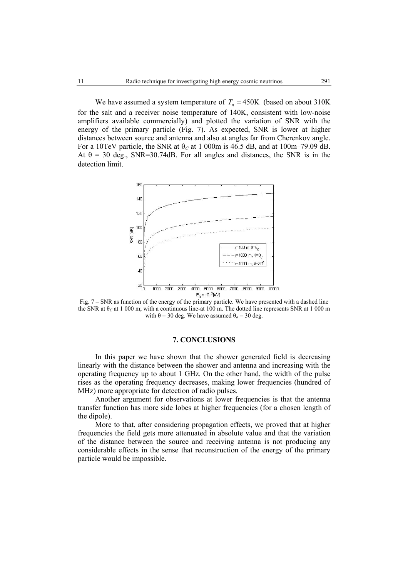We have assumed a system temperature of  $T_n = 450K$  *(based on about 310K)* for the salt and a receiver noise temperature of 140K, consistent with low-noise amplifiers available commercially) and plotted the variation of SNR with the energy of the primary particle (Fig. 7). As expected, SNR is lower at higher distances between source and antenna and also at angles far from Cherenkov angle. For a 10TeV particle, the SNR at  $\theta_C$  at 1 000m is 46.5 dB, and at 100m–79.09 dB. At  $\theta$  = 30 deg., SNR=30.74dB. For all angles and distances, the SNR is in the detection limit.



Fig. 7 – SNR as function of the energy of the primary particle. We have presented with a dashed line the SNR at θ*C* at 1 000 m; with a continuous line-at 100 m. The dotted line represents SNR at 1 000 m with  $\theta = 30$  deg. We have assumed  $\theta_a = 30$  deg.

# **7. CONCLUSIONS**

In this paper we have shown that the shower generated field is decreasing linearly with the distance between the shower and antenna and increasing with the operating frequency up to about 1 GHz. On the other hand, the width of the pulse rises as the operating frequency decreases, making lower frequencies (hundred of MHz) more appropriate for detection of radio pulses.

Another argument for observations at lower frequencies is that the antenna transfer function has more side lobes at higher frequencies (for a chosen length of the dipole).

More to that, after considering propagation effects, we proved that at higher frequencies the field gets more attenuated in absolute value and that the variation of the distance between the source and receiving antenna is not producing any considerable effects in the sense that reconstruction of the energy of the primary particle would be impossible.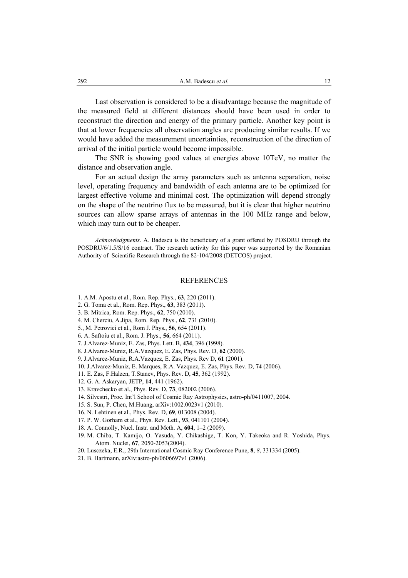Last observation is considered to be a disadvantage because the magnitude of the measured field at different distances should have been used in order to reconstruct the direction and energy of the primary particle. Another key point is that at lower frequencies all observation angles are producing similar results. If we would have added the measurement uncertainties, reconstruction of the direction of arrival of the initial particle would become impossible.

The SNR is showing good values at energies above 10TeV, no matter the distance and observation angle.

For an actual design the array parameters such as antenna separation, noise level, operating frequency and bandwidth of each antenna are to be optimized for largest effective volume and minimal cost. The optimization will depend strongly on the shape of the neutrino flux to be measured, but it is clear that higher neutrino sources can allow sparse arrays of antennas in the 100 MHz range and below, which may turn out to be cheaper.

*Acknowledgments*. A. Badescu is the beneficiary of a grant offered by POSDRU through the POSDRU/6/1.5/S/16 contract. The research activity for this paper was supported by the Romanian Authority of Scientific Research through the 82-104/2008 (DETCOS) project.

#### REFERENCES

- 1. A.M. Apostu et al., Rom. Rep. Phys., **63**, 220 (2011).
- 2. G. Toma et al., Rom. Rep. Phys., **63**, 383 (2011).
- 3. B. Mitrica, Rom. Rep. Phys., **62**, 750 (2010).
- 4. M. Cherciu, A.Jipa, Rom. Rep. Phys., **62**, 731 (2010).
- 5., M. Petrovici et al., Rom J. Phys., **56**, 654 (2011).
- 6. A. Saftoiu et al., Rom. J. Phys., **56**, 664 (2011).
- 7. J.Alvarez-Muniz, E. Zas, Phys. Lett. B, **434**, 396 (1998).
- 8. J.Alvarez-Muniz, R.A.Vazquez, E. Zas, Phys. Rev. D, **62** (2000).
- 9. J.Alvarez-Muniz, R.A.Vazquez, E. Zas, Phys. Rev D, **61** (2001).
- 10. J.Alvarez-Muniz, E. Marques, R.A. Vazquez, E. Zas, Phys. Rev. D, **74** (2006).
- 11. E. Zas, F.Halzen, T.Stanev, Phys. Rev. D, **45**, 362 (1992).
- 12. G. A. Askaryan, JETP, **14**, 441 (1962).
- 13. Kravchecko et al., Phys. Rev. D, **73**, 082002 (2006).
- 14. Silvestri, Proc. Int'l School of Cosmic Ray Astrophysics, astro-ph/0411007, 2004.
- 15. S. Sun, P. Chen, M.Huang, arXiv:1002.0023v1 (2010).
- 16. N. Lehtinen et al., Phys. Rev. D, **69**, 013008 (2004).
- 17. P. W. Gorham et al., Phys. Rev. Lett., **93**, 041101 (2004).
- 18. A. Connolly, Nucl. Instr. and Meth. A, **604**, 1–2 (2009).
- 19. M. Chiba, T. Kamijo, O. Yasuda, Y. Chikashige, T. Kon, Y. Takeoka and R. Yoshida, Phys. Atom. Nuclei, **67**, 2050-2053(2004).
- 20. Lusczeka, E.R., 29th International Cosmic Ray Conference Pune, **8**, *8*, 331334 (2005).
- 21. B. Hartmann, arXiv:astro-ph/0606697v1 (2006).